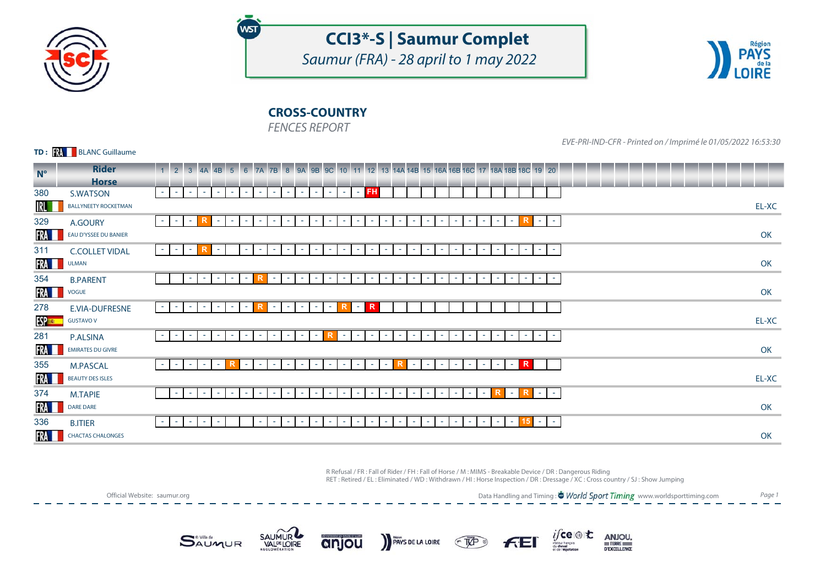

# **CCI3\*-S | Saumur Complet**

Saumur (FRA) - 28 april to 1 may 2022



## **CROSS-COUNTRY**

FENCES REPORT

**WST** 

**TD: WE BLANC Guillaume** 

EVE-PRI-IND-CFR - Printed on / Imprimé le 01/05/2022 16:53:30

| $N^{\circ}$   | <b>Rider</b>                | 1 2 3 4A 4B 5 6 7A 7B 8 9A 9B 9C 10 11 12 13 14A 14B 15 16A 16B 16C 17 18A 18B 18C 19 20                                                                                                                                                                                                                                                |       |
|---------------|-----------------------------|-----------------------------------------------------------------------------------------------------------------------------------------------------------------------------------------------------------------------------------------------------------------------------------------------------------------------------------------|-------|
| 380           | <b>Horse</b><br>S.WATSON    | <b>FH</b><br>$\sim$ 10 $\pm$<br>$\sim$<br>$\sim$<br>$\sim$<br>$\sim$ 10 $\pm$<br><b>Section</b><br>$\sim$<br><b>Contract</b><br>$\sim$<br>$\sim$<br><b>Section</b><br>$\sim$<br>$\sim$<br><b>Section</b><br><b>College</b>                                                                                                              |       |
| IRL           | <b>BALLYNEETY ROCKETMAN</b> |                                                                                                                                                                                                                                                                                                                                         | EL-XC |
| 329           | A.GOURY                     | R<br>$\sim$<br>$\sim$ $-$<br><b>College</b><br>$\sim$ 10<br>$\sim$<br>$\sim$<br>$\sim$<br>$\sim$<br>$\sim$<br>$\sim$<br>$\sim$<br><b>College</b><br>$\sim$<br>$\sim$<br>the c<br><b>Contract</b><br>$\sim$<br>$\sim$<br>$\sim$<br>$\sim$<br>$\sim$<br><b>COL</b><br>$\sim$<br><b>COL</b><br>$\sim$<br>$\sim$<br><b>COL</b>              |       |
| FRA I         | EAU D'YSSEE DU BANIER       |                                                                                                                                                                                                                                                                                                                                         | OK    |
| 311           | <b>C.COLLET VIDAL</b>       | $\sim$<br>$\sim$<br>$\sim$<br>$\sim$<br>the c<br>$\sim$<br>$\sim$<br>$\sim$<br>$\sim$<br>×.<br>$\sim$<br><b>Section</b><br>$\sim$ 10 $\pm$<br>. <b>.</b><br><b>COL</b><br>$\sim$<br>$\sim$<br>$\sim$<br>$\sim$<br>$\sim$<br>$\sim$<br>$\sim$<br>$\sim$<br>$\sim$<br>$\sim$<br>$\sim$<br>ж.                                              |       |
| FRA <b>II</b> | <b>ULMAN</b>                |                                                                                                                                                                                                                                                                                                                                         | OK    |
| 354           | <b>B.PARENT</b>             | $\sim$<br>$\sim$<br>$\sim$<br>$\sim$<br>$\sim$<br>$\sim$<br>$\sim$<br>$\sim$<br>$\sim$<br>$\sim$<br>$\sim$ 1<br>$\sim$<br>$\sim$<br>$\sim$<br><b>COL</b><br>$\sim$<br>٠<br>$\sim$<br>$\sim$<br>$\sim$<br>$\sim$<br>$\sim$<br>$\sim$<br>٠<br>٠<br>٠                                                                                      |       |
| FRA <b>I</b>  | <b>VOGUE</b>                |                                                                                                                                                                                                                                                                                                                                         | OK    |
| 278           | E.VIA-DUFRESNE              | R<br>R<br>R<br>$\sim$ $-$<br>$\sim$<br>$\sim$<br>$\sim$<br>$\sim$ 10 $\pm$<br>$\sim$ 1<br>$\sim$<br>$\sim$<br>$\sim$<br>$\sim$<br>$\sim$ 10 $\pm$<br>$\sim$<br>and the                                                                                                                                                                  |       |
| <b>ESP ES</b> | <b>GUSTAVO V</b>            |                                                                                                                                                                                                                                                                                                                                         | EL-XC |
| 281           | <b>P.ALSINA</b>             | R<br>$\sim$<br>$\sim$<br>$\sim$<br>$\sim$ 10<br>$\sim$<br>$\sim$<br>$\sim$ 1<br>$\sim$<br>$\sim$<br>$\sim$<br>$\sim$<br>$\sim$<br>$\sim$<br><b>Section</b><br>$\sim$ 10 $\pm$<br>$\sim$<br>$\sim$<br>the c<br><b>Contract</b><br>$\sim$<br>$\sim$<br>$\sim$<br><b>College</b><br>$\sim$<br><b>COL</b><br>$\sim$<br><b>COL</b><br>$\sim$ |       |
| FRA <b>I</b>  | EMIRATES DU GIVRE           |                                                                                                                                                                                                                                                                                                                                         | OK    |
| 355           | <b>M.PASCAL</b>             | R<br>R.<br>R<br>$\sim$ 10<br>$\sim$<br>$\sim$ $-$<br>$\sim$ $-$<br>$\sim$<br>$\sim$<br><b>Section</b><br><b>College</b><br>$\sim$<br>$\sim$<br><b>Section</b><br>$\sim$<br><b>Section</b><br>$\sim$<br>$\sim$<br>$\sim$<br>$\sim$<br><b>COL</b><br>$\sim$<br>$\sim$<br>$\sim$<br>$\sim$<br>$\sim$<br>and the                            |       |
| FRA <b>I</b>  | <b>BEAUTY DES ISLES</b>     |                                                                                                                                                                                                                                                                                                                                         | EL-XC |
| 374           | <b>M.TAPIE</b>              | R.<br>$\sim$<br>$\sim$<br>×.<br>$\sim$<br>$\sim$<br>$\sim$<br>$\sim$<br>$\sim$<br>$\sim$<br>٠<br>$\sim$<br>$\sim$<br>$\sim$<br>$\sim$<br>٠<br>$\sim$<br>٠<br>$\sim$<br>٠<br><b>COL</b><br>$\sim$<br><b>COL</b><br>$\sim$<br>٠                                                                                                           |       |
| FRA <b>I</b>  | <b>DARE DARE</b>            |                                                                                                                                                                                                                                                                                                                                         | OK    |
| 336           | <b>B.ITIER</b>              | 15 I<br>$\sim$<br>$\sim$<br>$\sim$<br>$\sim$<br>$\sim$<br>a.<br>$\sim$<br>$\sim$<br>$\sim$<br>$\sim$<br>$\sim$<br>$\sim$<br><b>COL</b><br><b>COL</b><br>$\sim$<br>$\sim$<br><b>College</b><br><b>College</b><br><b>College</b><br>$\sim$<br>٠<br>$\sim$<br>$\sim$<br>٠<br>$\sim$<br>ж.                                                  |       |
| FRA L         | <b>CHACTAS CHALONGES</b>    |                                                                                                                                                                                                                                                                                                                                         | OK    |

PAYS DE LA LOIRE TUP

R Refusal / FR : Fall of Rider / FH : Fall of Horse / M : MIMS - Breakable Device / DR : Dangerous Riding RET : Retired / EL : Eliminated / WD : Withdrawn / HI : Horse Inspection / DR : Dressage / XC : Cross country / SJ : Show Jumping

Official Website: saumur.org

Data Handling and Timing : <sup>\*</sup> World Sport Timing www.worldsporttiming.com Page 1

ANJOU.

DEXCELLENCE

 $if$ ce $\circledast$ t $\mathbf t$ 





anjou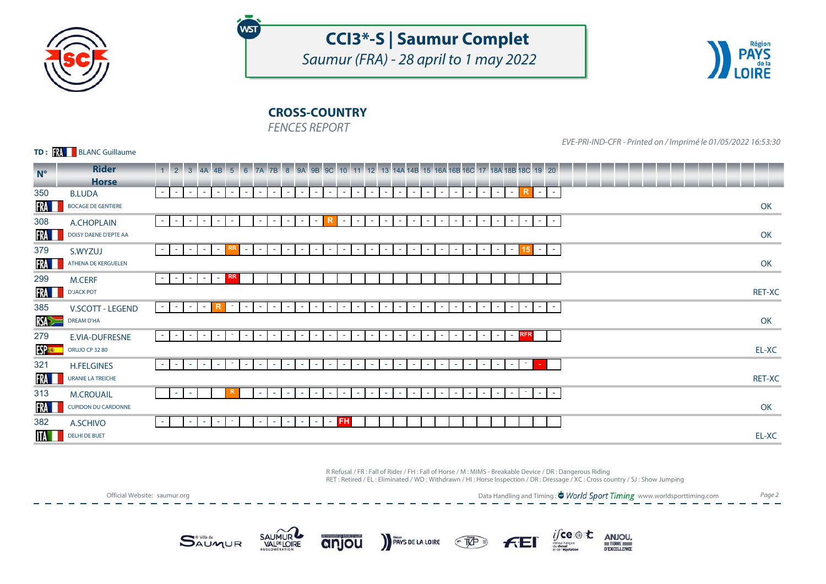

# **CCI3\*-S | Saumur Complet**

Saumur (FRA) - 28 april to 1 may 2022



## **CROSS-COUNTRY**

FENCES REPORT

WST

**TD: WE BLANC Guillaume** 

EVE-PRI-IND-CFR - Printed on / Imprimé le 01/05/2022 16:53:30

| <b>Rider</b>               | 4B 5 6 7A 7B 8 9A 9B 9C 10 11 12 13 14A 14B 15 16A 16B 16C 17 18A 18B 18C 19 20<br>$1 \t2 \t3 \t4A$                                                                                                                                                                                                                                                                  |        |
|----------------------------|----------------------------------------------------------------------------------------------------------------------------------------------------------------------------------------------------------------------------------------------------------------------------------------------------------------------------------------------------------------------|--------|
|                            | R<br>$\sim$<br>$\sim$ $ \sim$<br><b>Contract</b><br>$\sim$<br>$\sim$<br>$\sim$<br>$\sim$<br>$\sim$ 10 $\pm$<br>$\sim$ 10 $\pm$<br>$\sim$<br>$\sim$<br><b>Section</b><br>$\sim$<br>$\sim$<br>re d<br>$\sim$<br><b>College</b><br>$\sim$<br>$\sim$<br>$\sim$<br>$\sim$<br><b>College</b><br>$\sim$<br>$\sim$<br>$\sim$ 10 $\pm$<br>$\sim$<br>$\sim$<br><b>Contract</b> |        |
| <b>BOCAGE DE GENTIERE</b>  |                                                                                                                                                                                                                                                                                                                                                                      | OK     |
| A.CHOPLAIN                 | $\sim$<br>$\sim$<br>$\sim$<br>$\sim$<br>control.<br><b>College</b><br>$\sim$<br>$\sim$<br>$\sim$<br>$\sim$<br>$\sim$<br>$\sim$<br>$\sim$<br>$\sim$<br>$\sim$<br>$\sim$<br>$\sim$<br>$\sim$<br>$\sim$<br>$\overline{\phantom{a}}$<br>$\sim$<br>$\sim$<br>$\sim$<br><b>COL</b><br><b>COL</b><br>$\sim$                                                                 |        |
| DOISY DAENE D'EPTE AA      |                                                                                                                                                                                                                                                                                                                                                                      | OK     |
| S.WYZUJ                    | $\sim$<br>15<br>$\sim$<br>$\sim$<br>$\sim$<br>$\sim$<br>$\sim$<br><b>College</b><br>$\sim$<br>$\sim$<br>$\sim$<br>$\sim$<br>$\sim$<br>$\sim$<br>$\sim$<br>$\sim$<br>$\sim$<br>$\sim$<br>$\sim$<br>$\sim$<br>$\sim$<br>$\sim$<br>$\sim$<br>$\sim$<br>$\sim$<br>$\sim$<br>$\sim$<br>٠                                                                                  |        |
| ATHENA DE KERGUELEN        |                                                                                                                                                                                                                                                                                                                                                                      | OK     |
| <b>M.CERF</b>              | <b>RR</b><br>$\sim$<br>$\sim$ 10 $\pm$<br>$\sim$<br>$\sim$<br>$\sim$                                                                                                                                                                                                                                                                                                 |        |
| <b>D'JACK POT</b>          |                                                                                                                                                                                                                                                                                                                                                                      | RET-XC |
| V.SCOTT - LEGEND           | $\sim$<br>$\sim$ $ \sim$<br>$\sim$<br><b>.</b><br>$\sim$<br>$\sim$<br><b>College</b><br>$\sim$<br>$\sim$<br>$\sim$<br>$\sim$<br>$\sim$<br><b>COL</b><br><b>COL</b><br>$\sim$<br>$\sim$<br>$\sim$<br>$\sim$<br>$\sim$<br>$\sim$<br>$\sim$<br>$\sim$<br>$\sim$<br>$\sim$<br>$\sim$<br>$\sim$<br><b>COL</b><br>$\sim$                                                   |        |
| <b>DREAM D'HA</b>          |                                                                                                                                                                                                                                                                                                                                                                      | OK     |
| E.VIA-DUFRESNE             | $-$ RFR<br>$\sim$<br>$\sim$<br>$\sim$<br>c.<br>$\sim$<br>$\sim$<br>$\sim$<br>$\sim$<br>$\sim$<br>$\sim$<br>$\sim$<br>$\sim$<br>$\sim$<br>$\sim$<br>$\sim$<br>$\sim$<br><b>COL</b><br>$\sim$<br>$\sim$<br>$\sim$<br><b>COL</b><br>$\sim$<br><b>COL</b><br>$\sim$<br>$\sim$ 10 $\pm$                                                                                   |        |
| ORUJO CP 3280              |                                                                                                                                                                                                                                                                                                                                                                      | EL-XC  |
| <b>H.FELGINES</b>          | ÷<br>$\sim$<br>$\sim$<br><b>.</b><br>$\sim$<br>c.<br>$\sim$<br>$\sim$<br>$\sim$<br>$\sim$<br>$\sim$<br>and the<br>$\sim$<br>$\sim$<br>$\sim$<br>$\sim$<br>$\sim$<br>$\sim$<br>$\sim$<br>$\sim$ 10 $\pm$<br>٠<br>$\sim$<br>$\sim$<br>ж.<br>$\sim$                                                                                                                     |        |
| URANIE LA TREICHE          |                                                                                                                                                                                                                                                                                                                                                                      | RET-XC |
| <b>M.CROUAIL</b>           | $\sim$<br>$\sim$<br>$\sim$<br>$\sim$<br>$\sim$<br>$\sim$<br>$\sim$<br>٠<br>$\sim$<br>$\sim$<br>$\sim$<br>$\overline{\phantom{a}}$<br>$\sim$<br>$\sim$<br>$\sim$<br>٠<br>٠<br>$\sim$<br>$\sim$<br>$\sim$<br>٠                                                                                                                                                         |        |
| <b>CUPIDON DU CARDONNE</b> |                                                                                                                                                                                                                                                                                                                                                                      | OK     |
| A.SCHIVO                   | <b>FH</b><br>$\sim$<br>$\sim$ $-$<br>$\sim$<br>$\sim$<br>$\sim$<br>$\sim$<br>$\sim$<br>$\sim$<br><b>COL</b><br>$\sim$<br><b>COL</b>                                                                                                                                                                                                                                  |        |
| <b>DELHI DE BUET</b>       |                                                                                                                                                                                                                                                                                                                                                                      | EL-XC  |
|                            | <b>Horse</b><br><b>B.LUDA</b>                                                                                                                                                                                                                                                                                                                                        |        |

R Refusal / FR : Fall of Rider / FH : Fall of Horse / M : MIMS - Breakable Device / DR : Dangerous Riding RET : Retired / EL : Eliminated / WD : Withdrawn / HI : Horse Inspection / DR : Dressage / XC : Cross country / SJ : Show Jumping

Official Website: saumur.org

Data Handling and Timing : <sup>\*</sup> World Sport Timing www.worldsporttiming.com Page 2